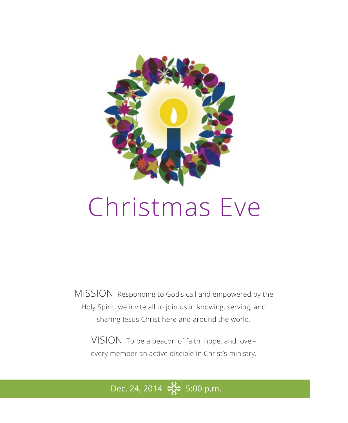

# Christmas Eve

MISSION Responding to God's call and empowered by the Holy Spirit, we invite all to join us in knowing, serving, and sharing Jesus Christ here and around the world.

VISION To be a beacon of faith, hope, and love – every member an active disciple in Christ's ministry.

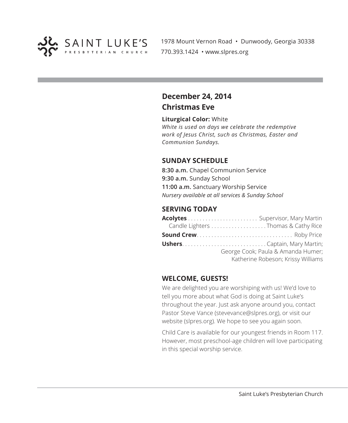

1978 Mount Vernon Road • Dunwoody, Georgia 30338 770.393.1424 • www.slpres.org

### **December 24, 2014 Christmas Eve**

#### **Liturgical Color:** White

*White is used on days we celebrate the redemptive work of Jesus Christ, such as Christmas, Easter and Communion Sundays.* 

### **SUNDAY SCHEDULE**

**8:30 a.m.** Chapel Communion Service **9:30 a.m.** Sunday School **11:00 a.m.** Sanctuary Worship Service *Nursery available at all services & Sunday School*

#### **SERVING TODAY**

| Candle Lighters Thomas & Cathy Rice |
|-------------------------------------|
|                                     |
|                                     |
| George Cook; Paula & Amanda Humer;  |
| Katherine Robeson; Krissy Williams  |

### **WELCOME, GUESTS!**

We are delighted you are worshiping with us! We'd love to tell you more about what God is doing at Saint Luke's throughout the year. Just ask anyone around you, contact Pastor Steve Vance (stevevance@slpres.org), or visit our website (slpres.org). We hope to see you again soon.

Child Care is available for our youngest friends in Room 117. However, most preschool-age children will love participating in this special worship service.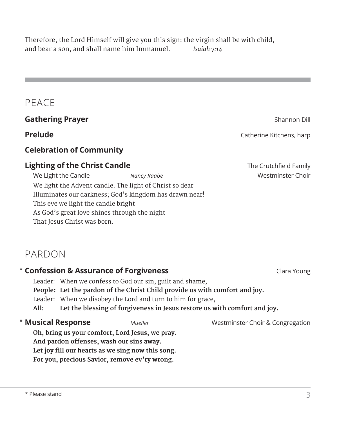Therefore, the Lord Himself will give you this sign: the virgin shall be with child, and bear a son, and shall name him Immanuel. *Isaiah 7:14*

## PEACE

### **Gathering Prayer** Shannon Dill

### **Celebration of Community**

### **Lighting of the Christ Candle** The Crutchfield Family

We Light the Candle *Nancy Raabe* **Westminster Choir** We light the Advent candle. The light of Christ so dear Illuminates our darkness; God's kingdom has drawn near! This eve we light the candle bright As God's great love shines through the night That Jesus Christ was born.

### PARDON

### **\* Confession & Assurance of Forgiveness Clara Young Clara Young** Leader: When we confess to God our sin, guilt and shame, **People: Let the pardon of the Christ Child provide us with comfort and joy.** Leader: When we disobey the Lord and turn to him for grace, **All: Let the blessing of forgiveness in Jesus restore us with comfort and joy. Musical Response** *Mueller* Westminster Choir & Congregation **Oh, bring us your comfort, Lord Jesus, we pray. And pardon offenses, wash our sins away. Let joy fill our hearts as we sing now this song. For you, precious Savior, remove ev'ry wrong. \* Musical Response**

**Prelude** Catherine Kitchens, harp **Prelude** Catherine Kitchens, harp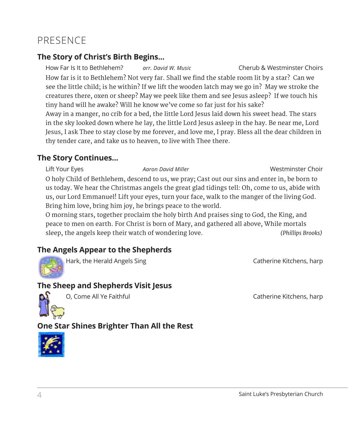### PRESENCE

### **The Story of Christ's Birth Begins...**

How Far Is It to Bethlehem? *arr. David W. Music* Cherub & Westminster Choirs How far is it to Bethlehem? Not very far. Shall we find the stable room lit by a star? Can we see the little child; is he within? If we lift the wooden latch may we go in? May we stroke the creatures there, oxen or sheep? May we peek like them and see Jesus asleep? If we touch his tiny hand will he awake? Will he know we've come so far just for his sake? Away in a manger, no crib for a bed, the little Lord Jesus laid down his sweet head. The stars in the sky looked down where he lay, the little Lord Jesus asleep in the hay. Be near me, Lord Jesus, I ask Thee to stay close by me forever, and love me, I pray. Bless all the dear children in thy tender care, and take us to heaven, to live with Thee there.

### **The Story Continues...**

Lift Your Eyes *Aaron David Miller* Westminster Choir O holy Child of Bethlehem, descend to us, we pray; Cast out our sins and enter in, be born to us today. We hear the Christmas angels the great glad tidings tell: Oh, come to us, abide with us, our Lord Emmanuel! Lift your eyes, turn your face, walk to the manger of the living God. Bring him love, bring him joy, he brings peace to the world.

O morning stars, together proclaim the holy birth And praises sing to God, the King, and peace to men on earth. For Christ is born of Mary, and gathered all above, While mortals sleep, the angels keep their watch of wondering love. *(Phillips Brooks)*

### **The Angels Appear to the Shepherds**



Hark, the Herald Angels Sing Catherine Kitchens, harp Catherine Kitchens, harp

### **The Sheep and Shepherds Visit Jesus**



O, Come All Ye Faithful **Catherine Catherine Kitchens**, harp

### **One Star Shines Brighter Than All the Rest**

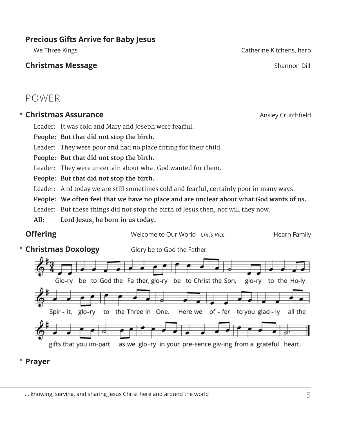### … knowing, serving, and sharing Jesus Christ here and around the world

### **Precious Gifts Arrive for Baby Jesus**

### **Christmas Message Shannon Dill** and the state of the state of the shannon Dill and the shannon Dill and the shannon Dill and the shannon Dill and the state of the state of the state of the state of the state of the sta

### POWER

### **Christmas Assurance Ansley Crutchfield Ansley Crutchfield**

Leader: It was cold and Mary and Joseph were fearful.

**People: But that did not stop the birth.**

Leader: They were poor and had no place fitting for their child.

**People: But that did not stop the birth.**

Leader: They were uncertain about what God wanted for them.

**People: But that did not stop the birth.**

Leader: And today we are still sometimes cold and fearful, certainly poor in many ways.

**People: We often feel that we have no place and are unclear about what God wants of us.**

Leader: But these things did not stop the birth of Jesus then, nor will they now.

**All: Lord Jesus, be born in us today.**

#### **Prayer** \*

We Three Kings Catherine Kitchens, harp Catherine Kitchens, harp Catherine Kitchens, harp Catherine Kitchens, harp Catherine Kitchens, harp Catherine Kitchens, harp Catherine Kitchens, harp Catherine Kitchens, harp Catheri

**Offering** Welcome to Our World *Chris Rice* Hearn Family \* Christmas Doxology Glory be to God the Father Glo-ry be to God the Fa ther, glo-ry be to Christ the Son, glo-ry to the Ho-ly Spir - it.  $g|_{0-N}$ to the Three in One. Here we of - fer to you glad - ly all the gifts that you im-part as we glo-ry in your pre-sence giv-ing from a grateful heart.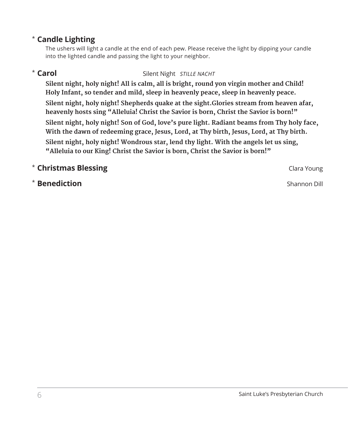### **Candle Lighting**  \*

 The ushers will light a candle at the end of each pew. Please receive the light by dipping your candle into the lighted candle and passing the light to your neighbor.

### \* Carol

### **Carol** Silent Night *STILLE NACHT*

 **Silent night, holy night! All is calm, all is bright, round yon virgin mother and Child! Holy Infant, so tender and mild, sleep in heavenly peace, sleep in heavenly peace. Silent night, holy night! Shepherds quake at the sight.Glories stream from heaven afar, heavenly hosts sing "Alleluia! Christ the Savior is born, Christ the Savior is born!" Silent night, holy night! Son of God, love's pure light. Radiant beams from Thy holy face, With the dawn of redeeming grace, Jesus, Lord, at Thy birth, Jesus, Lord, at Thy birth. Silent night, holy night! Wondrous star, lend thy light. With the angels let us sing, "Alleluia to our King! Christ the Savior is born, Christ the Savior is born!"**

### **The Christmas Blessing Clara Young School Clara Young Clara Young**

**Benediction** Shannon Dill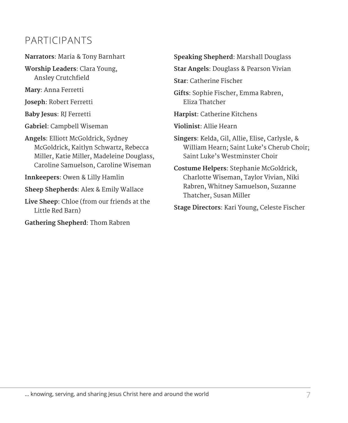### PARTICIPANTS

**Narrators**: Maria & Tony Barnhart

**Worship Leaders**: Clara Young, Ansley Crutchfield

**Mary**: Anna Ferretti

**Joseph**: Robert Ferretti

**Baby Jesus**: RJ Ferretti

**Gabriel**: Campbell Wiseman

**Angels**: Elliott McGoldrick, Sydney McGoldrick, Kaitlyn Schwartz, Rebecca Miller, Katie Miller, Madeleine Douglass, Caroline Samuelson, Caroline Wiseman

**Innkeepers**: Owen & Lilly Hamlin

**Sheep Shepherds**: Alex & Emily Wallace

**Live Sheep**: Chloe (from our friends at the Little Red Barn)

**Gathering Shepherd**: Thom Rabren

**Speaking Shepherd**: Marshall Douglass

**Star Angels**: Douglass & Pearson Vivian

**Star**: Catherine Fischer

**Gifts**: Sophie Fischer, Emma Rabren, Eliza Thatcher

**Harpist**: Catherine Kitchens

**Violinist**: Allie Hearn

**Singers**: Kelda, Gil, Allie, Elise, Carlysle, & William Hearn; Saint Luke's Cherub Choir; Saint Luke's Westminster Choir

**Costume Helpers**: Stephanie McGoldrick, Charlotte Wiseman, Taylor Vivian, Niki Rabren, Whitney Samuelson, Suzanne Thatcher, Susan Miller

**Stage Directors**: Kari Young, Celeste Fischer